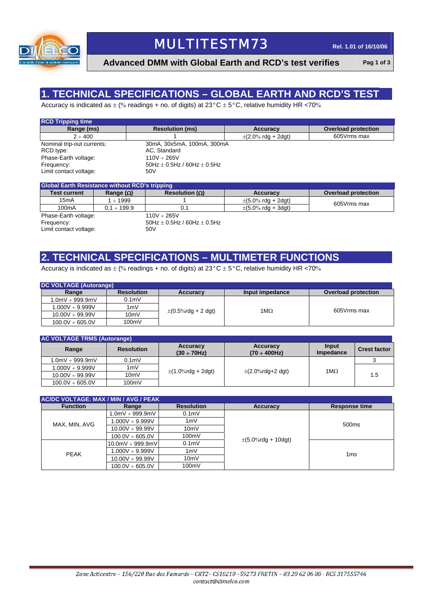

# **MULTITESTM73** Rel. 1.01 of 16/10/06

**Advanced DMM with Global Earth and RCD's test verifies Pag 1 of 3**

### **1. TECHNICAL SPECIFICATIONS – GLOBAL EARTH AND RCD'S TEST**

Accuracy is indicated as  $\pm$  (% readings + no. of digits) at 23°C  $\pm$  5°C, relative humidity HR <70%

| <b>RCD Tripping time</b>   |                                     |                                          |                            |
|----------------------------|-------------------------------------|------------------------------------------|----------------------------|
| Range (ms)                 | <b>Resolution (ms)</b>              | Accuracy                                 | <b>Overload protection</b> |
| $2 \div 400$               |                                     | $\pm (2.0\% \text{ rdg} + 2 \text{dg}t)$ | 605Vrms max                |
| Nominal trip-out currents: | 30mA, 30x5mA, 100mA, 300mA          |                                          |                            |
| RCD type:                  | AC, Standard                        |                                          |                            |
| Phase-Earth voltage:       | $110V + 265V$                       |                                          |                            |
| Frequency:                 | 50Hz $\pm$ 0.5Hz / 60Hz $\pm$ 0.5Hz |                                          |                            |
| Limit contact voltage:     | 50V                                 |                                          |                            |

| <b>Global Earth Resistance without RCD's tripping</b> |                  |                         |                                          |                            |  |
|-------------------------------------------------------|------------------|-------------------------|------------------------------------------|----------------------------|--|
| <b>Test current</b>                                   | Range $(\Omega)$ | Resolution ( $\Omega$ ) | Accuracy                                 | <b>Overload protection</b> |  |
| 15mA                                                  | $+1999$          |                         | $\pm (5.0\% \text{ rda} + 2 \text{dqt})$ | 605Vrms max                |  |
| 100mA                                                 | $0.1 \div 199.9$ | 0.1                     | $\pm (5.0\% \text{ rdg} + 3 \text{dg}t)$ |                            |  |
| Phase-Earth voltage:                                  |                  | $110V \div 265V$        |                                          |                            |  |

Frequency: 50H<br>
Limit contact voltage: 50V<br>
50V

 $50$ Hz  $\pm$  0.5Hz / 60Hz  $\pm$  0.5Hz

### **2. TECHNICAL SPECIFICATIONS – MULTIMETER FUNCTIONS**

Accuracy is indicated as  $\pm$  (% readings + no. of digits) at 23°C  $\pm$  5°C, relative humidity HR <70%

| <b>DC VOLTAGE (Autorange)</b> |                   |                                          |                 |                            |  |  |
|-------------------------------|-------------------|------------------------------------------|-----------------|----------------------------|--|--|
| Range                         | <b>Resolution</b> | Accuracy                                 | Input impedance | <b>Overload protection</b> |  |  |
| $1.0$ m $V \div 999.9$ m $V$  | 0.1 <sub>m</sub>  |                                          |                 |                            |  |  |
| $1.000V \div 9.999V$          | 1mV               | $\pm (0.5\% \text{rdg} + 2 \text{ dgt})$ | 1ΜΩ             | 605Vrms max                |  |  |
| $10.00V \div 99.99V$          | 10mV              |                                          |                 |                            |  |  |
| $100.0V \div 605.0V$          | 100mV             |                                          |                 |                            |  |  |

| <b>AC VOLTAGE TRMS (Autorange)</b> |                   |                               |                                |                    |                     |  |
|------------------------------------|-------------------|-------------------------------|--------------------------------|--------------------|---------------------|--|
| Range                              | <b>Resolution</b> | Accuracy<br>$(30 \div 70$ Hz) | Accuracy<br>$(70 \div 400$ Hz) | Input<br>Impedance | <b>Crest factor</b> |  |
| $0.0$ mV $\div$ 999.9mV            | 0.1 <sub>m</sub>  | $\pm$ (1.0%rdg + 2dgt)        | $\pm$ (2.0%rdg+2 dgt)          | 1MΩ                |                     |  |
| $1.000V \div 9.999V$               | 1mV               |                               |                                |                    |                     |  |
| $10.00V \div 99.99V$               | 10mV              |                               |                                |                    | 1.5                 |  |
| $100.0V \div 605.0V$               | 100mV             |                               |                                |                    |                     |  |

| AC/DC VOLTAGE: MAX / MIN / AVG / PEAK |                      |                   |                                          |                      |  |
|---------------------------------------|----------------------|-------------------|------------------------------------------|----------------------|--|
| <b>Function</b>                       | Range                | <b>Resolution</b> | <b>Accuracy</b>                          | <b>Response time</b> |  |
|                                       | $1.0mV \div 999.9mV$ | 0.1 <sub>m</sub>  |                                          |                      |  |
| MAX, MIN, AVG                         | $1.000V \div 9.999V$ | 1mV               |                                          | 500 <sub>ms</sub>    |  |
|                                       | $10.00V \div 99.99V$ | 10mV              |                                          |                      |  |
|                                       | $100.0V \div 605.0V$ | 100mV             | $\pm (5.0\% \text{rdg} + 10 \text{dgt})$ |                      |  |
|                                       | $10.0$ mV ÷ 999.9mV  | 0.1 <sub>m</sub>  |                                          |                      |  |
| <b>PEAK</b>                           | $1.000V \div 9.999V$ | 1mV               |                                          | 1 <sub>ms</sub>      |  |
|                                       | $10.00V \div 99.99V$ | 10mV              |                                          |                      |  |
|                                       | $100.0V \div 605.0V$ | 100mV             |                                          |                      |  |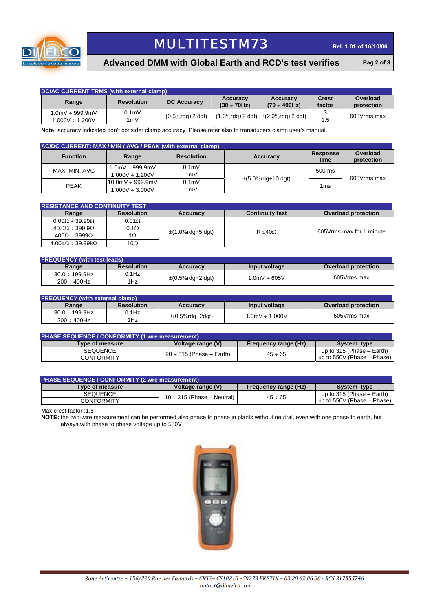

# **MULTITESTM73** Rel. 1.01 of 16/10/06

#### **Advanced DMM with Global Earth and RCD's test verifies Pag 2 of 3**

| DC/AC CURRENT TRMS (with external clamp) |                   |                                                                                              |                               |                                |                        |                        |
|------------------------------------------|-------------------|----------------------------------------------------------------------------------------------|-------------------------------|--------------------------------|------------------------|------------------------|
| Range                                    | <b>Resolution</b> | <b>DC Accuracy</b>                                                                           | Accuracy<br>$(30 \div 70$ Hz) | Accuracy<br>$(70 \div 400$ Hz) | <b>Crest</b><br>factor | Overload<br>protection |
| $1.0$ mV $\div$ 999.9mV                  | 0.1 <sub>m</sub>  | $\pm (0.5\% \text{rdg+2 dgt})$ $\pm (1.0\% \text{rdg+2 dgt})$ $\pm (2.0\% \text{rdg+2 dgt})$ |                               |                                |                        | 605Vrms max            |
| $1.000V \div 1.200V$                     | 1mV               |                                                                                              |                               |                                | 1.5                    |                        |

**Note:** accuracy indicated don't consider clamp accuracy. Please refer also to transducers clamp user's manual.

|                 | AC/DC CURRENT: MAX / MIN / AVG / PEAK (with external clamp) |                   |                                           |                  |                        |  |  |
|-----------------|-------------------------------------------------------------|-------------------|-------------------------------------------|------------------|------------------------|--|--|
| <b>Function</b> | Range                                                       | <b>Resolution</b> | Accuracy                                  | Response<br>time | Overload<br>protection |  |  |
| MAX, MIN, AVG   | $1.0$ m $V \div 999.9$ m $V$                                | 0.1 <sub>m</sub>  |                                           | 500 ms           | 605Vrms max            |  |  |
|                 | $1.000V \div 1.200V$                                        | 1mV               |                                           |                  |                        |  |  |
| <b>PEAK</b>     | $10.0mV + 999.9mV$                                          | 0.1 <sub>m</sub>  | $\pm (5.0\% \text{rdg} + 10 \text{ dgt})$ | 1 <sub>ms</sub>  |                        |  |  |
|                 | $1.000V \div 3.000V$                                        | 1mV               |                                           |                  |                        |  |  |

| <b>RESISTANCE AND CONTINUITY TEST</b>           |                   |                       |                        |                            |  |  |
|-------------------------------------------------|-------------------|-----------------------|------------------------|----------------------------|--|--|
| Range                                           | <b>Resolution</b> | <b>Accuracy</b>       | <b>Continuity test</b> | <b>Overload protection</b> |  |  |
| $0.00\Omega \div 39.99\Omega$                   | $0.01\Omega$      |                       |                        |                            |  |  |
| $40.0\Omega \div 399.9\Omega$                   | $0.1\Omega$       |                       | $R \leq 40\Omega$      | 605 Vrms max for 1 minute  |  |  |
| $400\Omega \div 3999\Omega$                     | 1Ω                | $\pm$ (1.0%rdg+5 dgt) |                        |                            |  |  |
| $4.00 \text{k}\Omega \div 39.99 \text{k}\Omega$ | 10Ω               |                       |                        |                            |  |  |

| <b>FREQUENCY (with test leads)</b> |                   |                       |                  |                            |  |
|------------------------------------|-------------------|-----------------------|------------------|----------------------------|--|
| Range                              | <b>Resolution</b> | <b>Accuracy</b>       | Input voltage    | <b>Overload protection</b> |  |
| $30.0 \div 199.9$ Hz               | 0.1Hz             |                       | .0mV $\div$ 605V | 605Vrms max                |  |
| $200 \div 400$ Hz                  | 1Hz               | $\pm$ (0.5%rdg+2 dgt) |                  |                            |  |

| <b>FREQUENCY (with external clamp)</b> |                   |                      |                         |                     |  |
|----------------------------------------|-------------------|----------------------|-------------------------|---------------------|--|
| Range                                  | <b>Resolution</b> | <b>Accuracy</b>      | Input voltage           | Overload protection |  |
| $30.0 \div 199.9$ Hz                   | 0.1Hz             |                      | $1.0$ m $V \div 1.000V$ | 605Vrms max         |  |
| $200 \div 400$ Hz                      | 1Hz               | $\pm$ (0.5%rdg+2dgt) |                         |                     |  |

| <b>PHASE SEQUENCE / CONFORMITY (1 wre measurement)</b>                             |                               |              |                                |  |  |
|------------------------------------------------------------------------------------|-------------------------------|--------------|--------------------------------|--|--|
| Voltage range (V)<br><b>Frequency range (Hz)</b><br>Type of measure<br>System type |                               |              |                                |  |  |
| <b>SEQUENCE</b>                                                                    |                               | $45 \div 65$ | up to $315$ (Phase $-$ Earth)  |  |  |
| CONFORMITY                                                                         | $90 \div 315$ (Phase – Earth) |              | up to $550V$ (Phase – Phase) I |  |  |

#### **PHASE SEQUENCE / CONFORMITY (2 wre**

| IFNASE SEQUENCE / CONFORMIT I (Z WIE MEASUIEMENT) |                                  |                      |                                        |  |  |
|---------------------------------------------------|----------------------------------|----------------------|----------------------------------------|--|--|
| <b>Type of measure</b>                            | Voltage range (V)                | Frequency range (Hz) | System type                            |  |  |
| <b>SEQUENCE</b>                                   |                                  | $45 \div 65$         | up to 315 (Phase $-$ Earth)            |  |  |
| CONFORMITY                                        | $110 \div 315$ (Phase – Neutral) |                      | up to 550V (Phase – Phase) $\mathsf I$ |  |  |

Max crest factor :1.5

**NOTE:** the two-wire measurement can be performed also phase to phase in plants without neutral, even with one phase to earth, but always with phase to phase voltage up to 550V